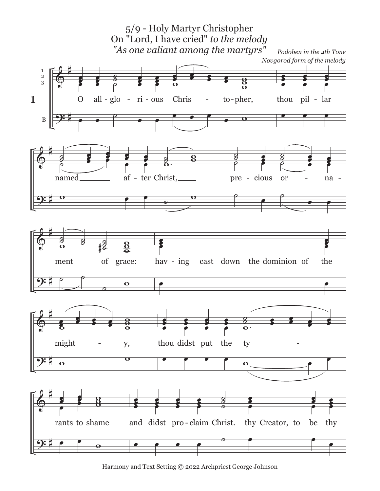

Harmony and Text Setting © 2022 Archpriest George Johnson